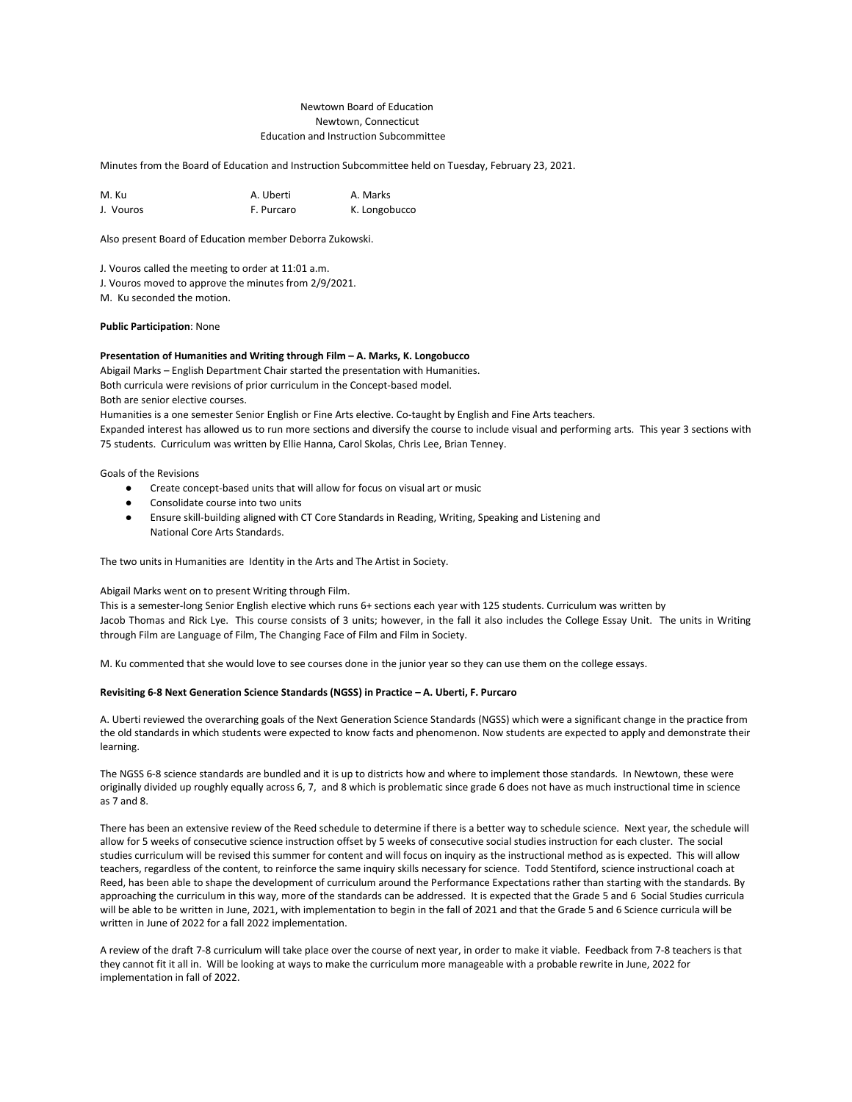#### Newtown Board of Education Newtown, Connecticut Education and Instruction Subcommittee

Minutes from the Board of Education and Instruction Subcommittee held on Tuesday, February 23, 2021.

| M. Ku     | A. Uberti  | A. Marks      |
|-----------|------------|---------------|
| J. Vouros | F. Purcaro | K. Longobucco |

Also present Board of Education member Deborra Zukowski.

J. Vouros called the meeting to order at 11:01 a.m.

J. Vouros moved to approve the minutes from 2/9/2021.

M. Ku seconded the motion.

#### **Public Participation**: None

#### **Presentation of Humanities and Writing through Film – A. Marks, K. Longobucco**

Abigail Marks – English Department Chair started the presentation with Humanities. Both curricula were revisions of prior curriculum in the Concept-based model. Both are senior elective courses.

Humanities is a one semester Senior English or Fine Arts elective. Co-taught by English and Fine Arts teachers.

Expanded interest has allowed us to run more sections and diversify the course to include visual and performing arts. This year 3 sections with 75 students. Curriculum was written by Ellie Hanna, Carol Skolas, Chris Lee, Brian Tenney.

Goals of the Revisions

- Create concept-based units that will allow for focus on visual art or music
- Consolidate course into two units
- Ensure skill-building aligned with CT Core Standards in Reading, Writing, Speaking and Listening and National Core Arts Standards.

The two units in Humanities are Identity in the Arts and The Artist in Society.

#### Abigail Marks went on to present Writing through Film.

This is a semester-long Senior English elective which runs 6+ sections each year with 125 students. Curriculum was written by Jacob Thomas and Rick Lye. This course consists of 3 units; however, in the fall it also includes the College Essay Unit. The units in Writing through Film are Language of Film, The Changing Face of Film and Film in Society.

M. Ku commented that she would love to see courses done in the junior year so they can use them on the college essays.

#### **Revisiting 6-8 Next Generation Science Standards (NGSS) in Practice – A. Uberti, F. Purcaro**

A. Uberti reviewed the overarching goals of the Next Generation Science Standards (NGSS) which were a significant change in the practice from the old standards in which students were expected to know facts and phenomenon. Now students are expected to apply and demonstrate their learning.

The NGSS 6-8 science standards are bundled and it is up to districts how and where to implement those standards. In Newtown, these were originally divided up roughly equally across 6, 7, and 8 which is problematic since grade 6 does not have as much instructional time in science as 7 and 8.

There has been an extensive review of the Reed schedule to determine if there is a better way to schedule science. Next year, the schedule will allow for 5 weeks of consecutive science instruction offset by 5 weeks of consecutive social studies instruction for each cluster. The social studies curriculum will be revised this summer for content and will focus on inquiry as the instructional method as is expected. This will allow teachers, regardless of the content, to reinforce the same inquiry skills necessary for science. Todd Stentiford, science instructional coach at Reed, has been able to shape the development of curriculum around the Performance Expectations rather than starting with the standards. By approaching the curriculum in this way, more of the standards can be addressed. It is expected that the Grade 5 and 6 Social Studies curricula will be able to be written in June, 2021, with implementation to begin in the fall of 2021 and that the Grade 5 and 6 Science curricula will be written in June of 2022 for a fall 2022 implementation.

A review of the draft 7-8 curriculum will take place over the course of next year, in order to make it viable. Feedback from 7-8 teachers is that they cannot fit it all in. Will be looking at ways to make the curriculum more manageable with a probable rewrite in June, 2022 for implementation in fall of 2022.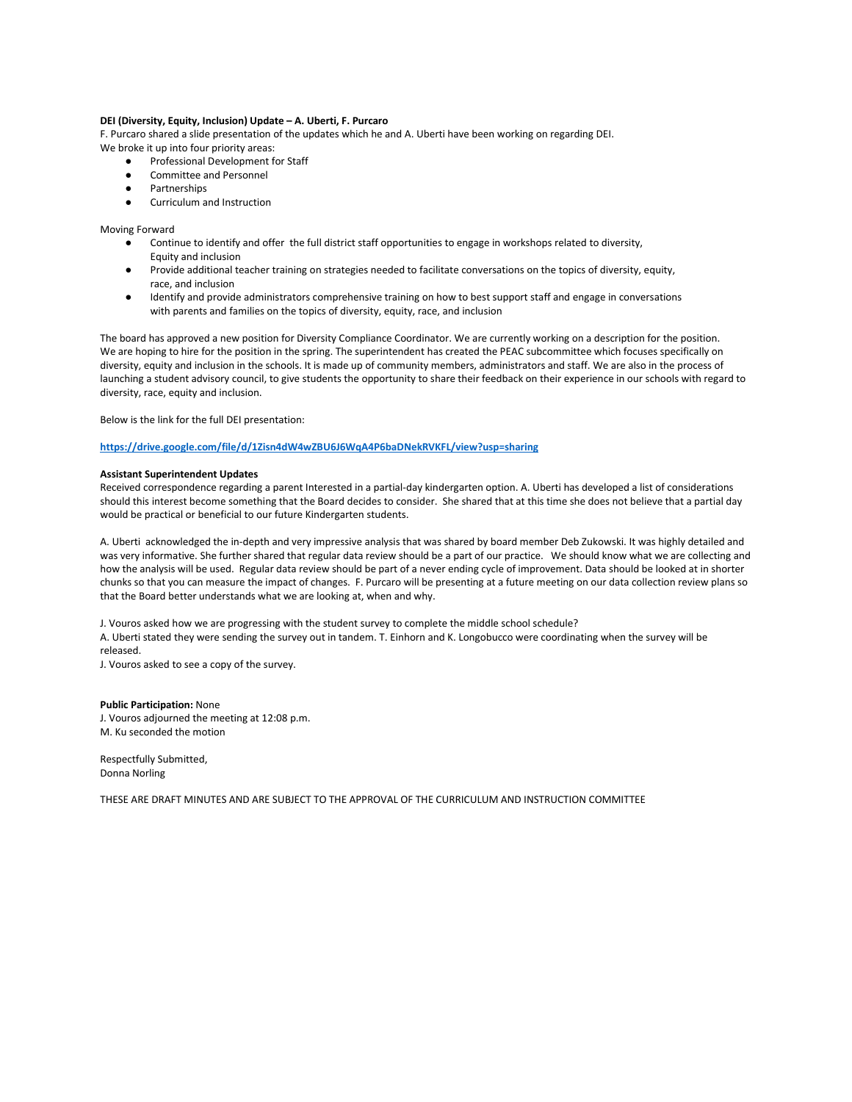#### **DEI (Diversity, Equity, Inclusion) Update – A. Uberti, F. Purcaro**

F. Purcaro shared a slide presentation of the updates which he and A. Uberti have been working on regarding DEI.

- We broke it up into four priority areas:
	- Professional Development for Staff
	- Committee and Personnel
	- Partnerships
	- Curriculum and Instruction

Moving Forward

- Continue to identify and offer the full district staff opportunities to engage in workshops related to diversity, Equity and inclusion
- Provide additional teacher training on strategies needed to facilitate conversations on the topics of diversity, equity, race, and inclusion
- Identify and provide administrators comprehensive training on how to best support staff and engage in conversations with parents and families on the topics of diversity, equity, race, and inclusion

The board has approved a new position for Diversity Compliance Coordinator. We are currently working on a description for the position. We are hoping to hire for the position in the spring. The superintendent has created the PEAC subcommittee which focuses specifically on diversity, equity and inclusion in the schools. It is made up of community members, administrators and staff. We are also in the process of launching a student advisory council, to give students the opportunity to share their feedback on their experience in our schools with regard to diversity, race, equity and inclusion.

Below is the link for the full DEI presentation:

#### **<https://drive.google.com/file/d/1Zisn4dW4wZBU6J6WqA4P6baDNekRVKFL/view?usp=sharing>**

#### **Assistant Superintendent Updates**

Received correspondence regarding a parent Interested in a partial-day kindergarten option. A. Uberti has developed a list of considerations should this interest become something that the Board decides to consider. She shared that at this time she does not believe that a partial day would be practical or beneficial to our future Kindergarten students.

A. Uberti acknowledged the in-depth and very impressive analysis that was shared by board member Deb Zukowski. It was highly detailed and was very informative. She further shared that regular data review should be a part of our practice. We should know what we are collecting and how the analysis will be used. Regular data review should be part of a never ending cycle of improvement. Data should be looked at in shorter chunks so that you can measure the impact of changes. F. Purcaro will be presenting at a future meeting on our data collection review plans so that the Board better understands what we are looking at, when and why.

J. Vouros asked how we are progressing with the student survey to complete the middle school schedule?

A. Uberti stated they were sending the survey out in tandem. T. Einhorn and K. Longobucco were coordinating when the survey will be released.

J. Vouros asked to see a copy of the survey.

#### **Public Participation:** None J. Vouros adjourned the meeting at 12:08 p.m. M. Ku seconded the motion

Respectfully Submitted, Donna Norling

THESE ARE DRAFT MINUTES AND ARE SUBJECT TO THE APPROVAL OF THE CURRICULUM AND INSTRUCTION COMMITTEE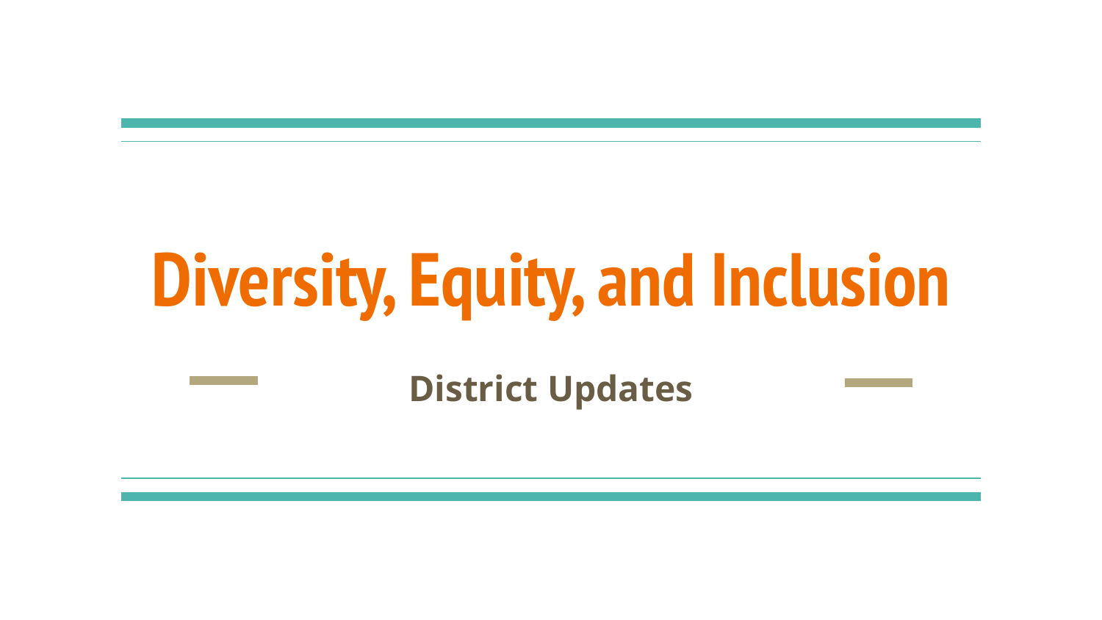# **Diversity, Equity, and Inclusion**

**District Updates**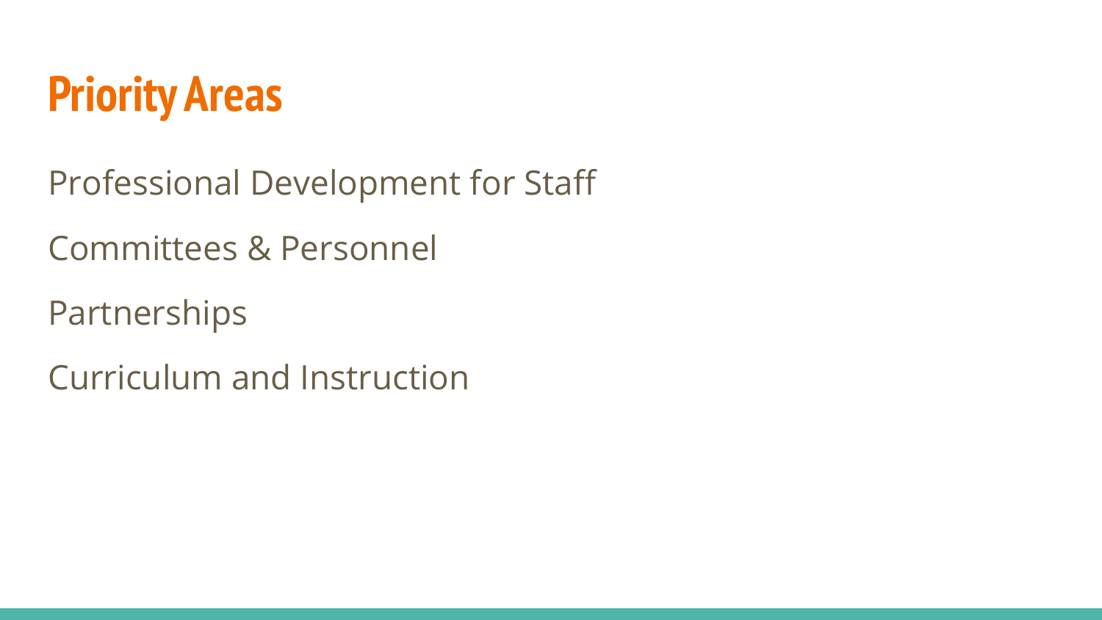

Professional Development for Staff

Committees & Personnel

Partnerships

Curriculum and Instruction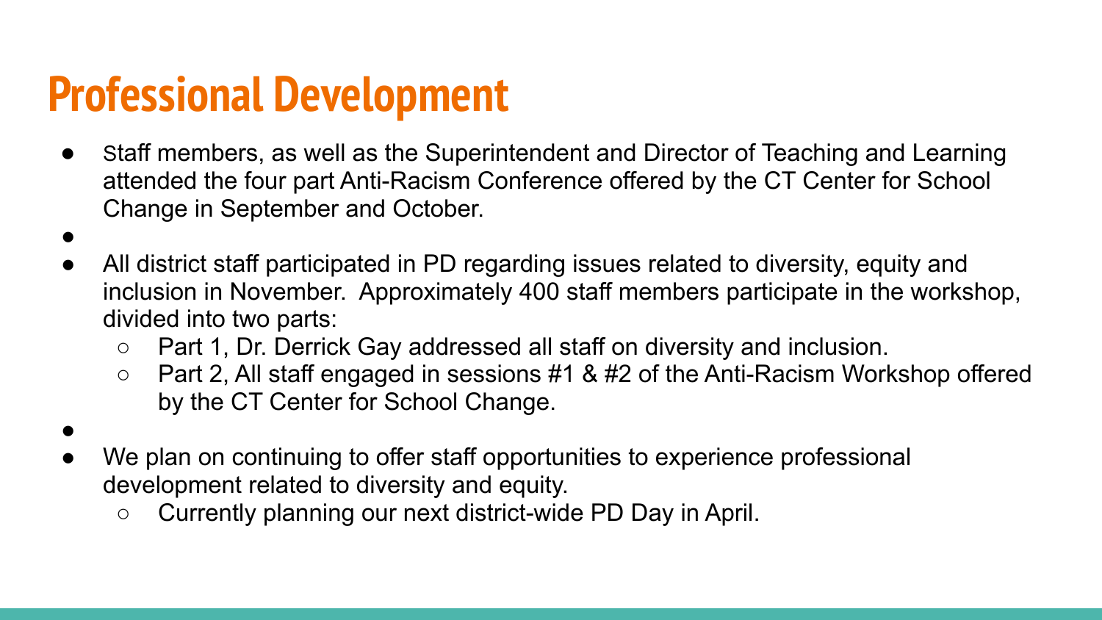### **Professional Development**

- Staff members, as well as the Superintendent and Director of Teaching and Learning attended the four part Anti-Racism Conference offered by the CT Center for School Change in September and October.
- All district staff participated in PD regarding issues related to diversity, equity and inclusion in November. Approximately 400 staff members participate in the workshop, divided into two parts:
	- Part 1, Dr. Derrick Gay addressed all staff on diversity and inclusion.
	- Part 2, All staff engaged in sessions #1 & #2 of the Anti-Racism Workshop offered by the CT Center for School Change.
- We plan on continuing to offer staff opportunities to experience professional

●

- development related to diversity and equity.
	- Currently planning our next district-wide PD Day in April.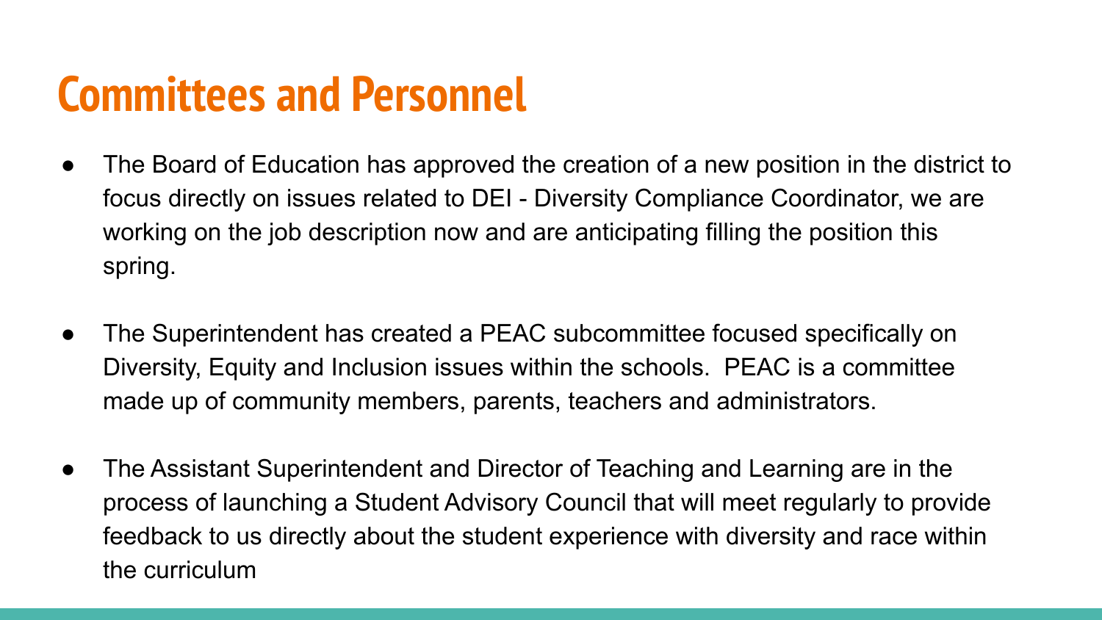### **Committees and Personnel**

- The Board of Education has approved the creation of a new position in the district to focus directly on issues related to DEI - Diversity Compliance Coordinator, we are working on the job description now and are anticipating filling the position this spring.
- The Superintendent has created a PEAC subcommittee focused specifically on Diversity, Equity and Inclusion issues within the schools. PEAC is a committee made up of community members, parents, teachers and administrators.
- The Assistant Superintendent and Director of Teaching and Learning are in the process of launching a Student Advisory Council that will meet regularly to provide feedback to us directly about the student experience with diversity and race within the curriculum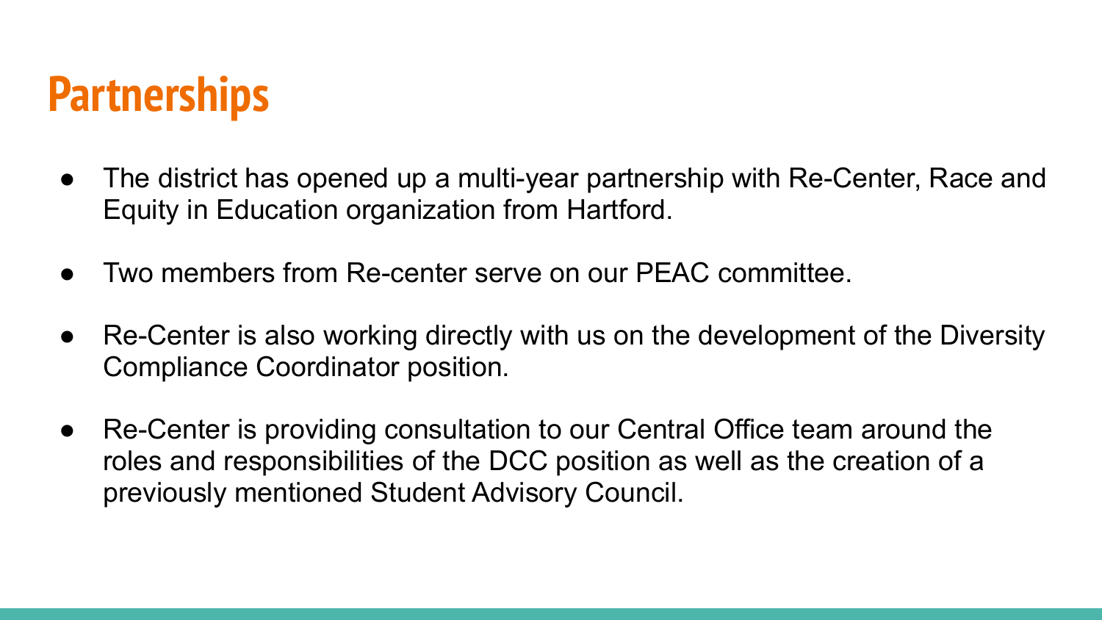### **Partnerships**

- The district has opened up a multi-year partnership with Re-Center, Race and Equity in Education organization from Hartford.
- Two members from Re-center serve on our PFAC committee.
- Re-Center is also working directly with us on the development of the Diversity Compliance Coordinator position.
- Re-Center is providing consultation to our Central Office team around the roles and responsibilities of the DCC position as well as the creation of a previously mentioned Student Advisory Council.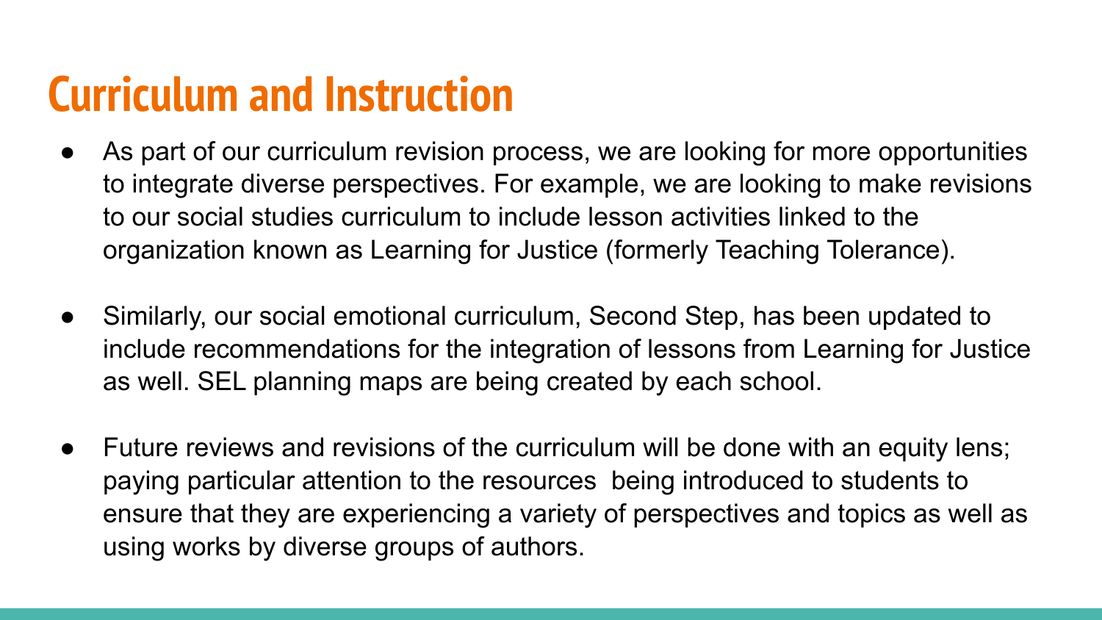### **Curriculum and Instruction**

- As part of our curriculum revision process, we are looking for more opportunities to integrate diverse perspectives. For example, we are looking to make revisions to our social studies curriculum to include lesson activities linked to the organization known as Learning for Justice (formerly Teaching Tolerance).
- Similarly, our social emotional curriculum, Second Step, has been updated to include recommendations for the integration of lessons from Learning for Justice as well. SEL planning maps are being created by each school.
- Future reviews and revisions of the curriculum will be done with an equity lens; paying particular attention to the resources being introduced to students to ensure that they are experiencing a variety of perspectives and topics as well as using works by diverse groups of authors.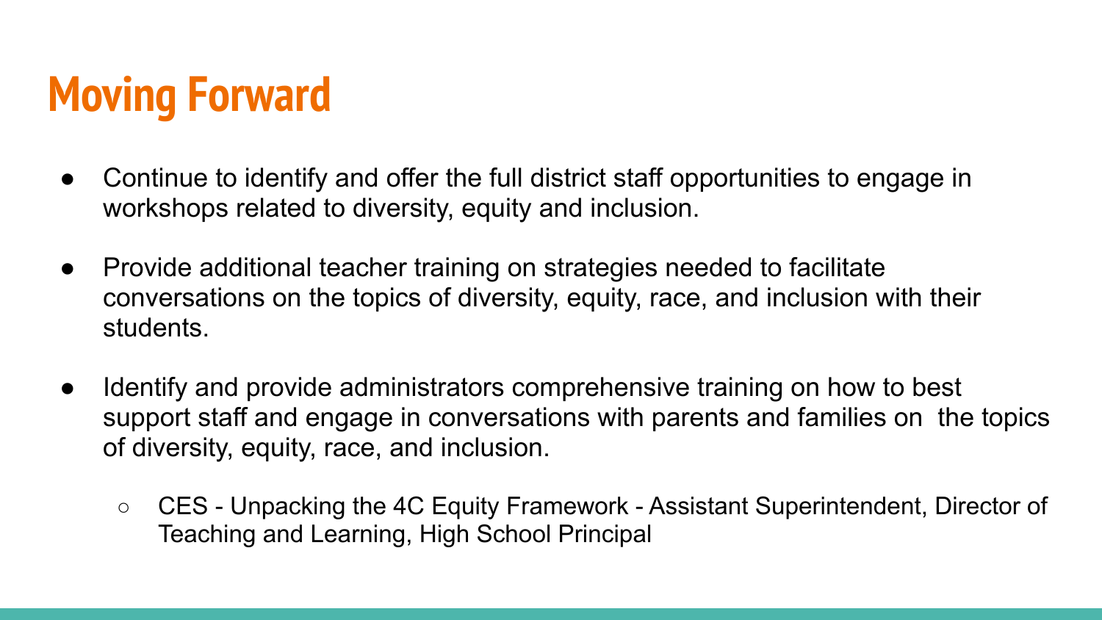# **Moving Forward**

- Continue to identify and offer the full district staff opportunities to engage in workshops related to diversity, equity and inclusion.
- Provide additional teacher training on strategies needed to facilitate conversations on the topics of diversity, equity, race, and inclusion with their students.
- Identify and provide administrators comprehensive training on how to best support staff and engage in conversations with parents and families on the topics of diversity, equity, race, and inclusion.
	- CES Unpacking the 4C Equity Framework Assistant Superintendent, Director of Teaching and Learning, High School Principal